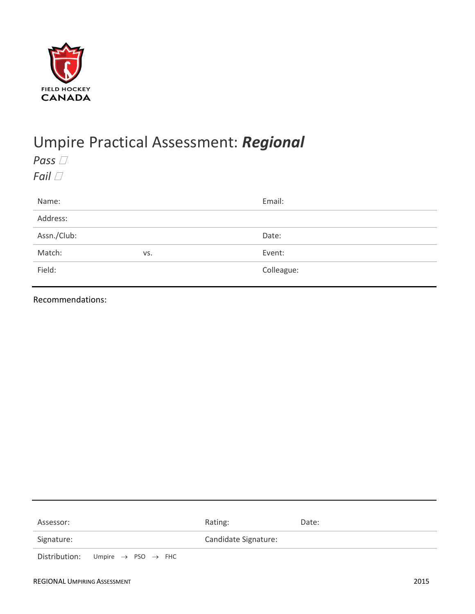

## Umpire Practical Assessment: *Regional*

*Pass*  $\Box$ *Fail*  $\Box$ 

| Name:       |     | Email:     |
|-------------|-----|------------|
| Address:    |     |            |
| Assn./Club: |     | Date:      |
| Match:      | VS. | Event:     |
| Field:      |     | Colleague: |
|             |     |            |

Recommendations:

| Assessor:  |                                                          | Rating:              | Date: |
|------------|----------------------------------------------------------|----------------------|-------|
| Signature: |                                                          | Candidate Signature: |       |
|            | Distribution: Umpire $\rightarrow$ PSO $\rightarrow$ FHC |                      |       |